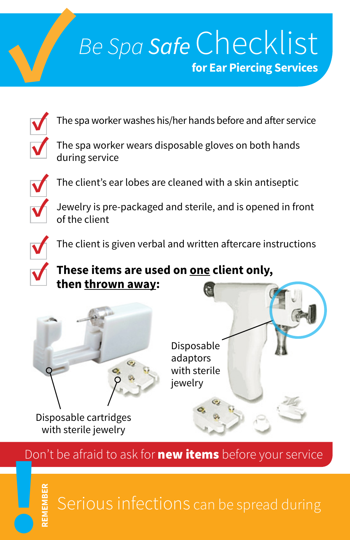## **✓***Be Spa Safe* Checklist **for Ear Piercing Services**



The spa worker washes his/her hands before and after service

The spa worker wears disposable gloves on both hands during service



**REMEMBER**

**✓** The client's ear lobes are cleaned with a skin antiseptic

**✓** Jewelry is pre-packaged and sterile, and is opened in front of the client

The client is given verbal and written aftercare instructions

#### **✓ These items are used on one client only, then thrown away:**



Don't be afraid to ask for **new items** before your service **!**

Serious infections can be spread during